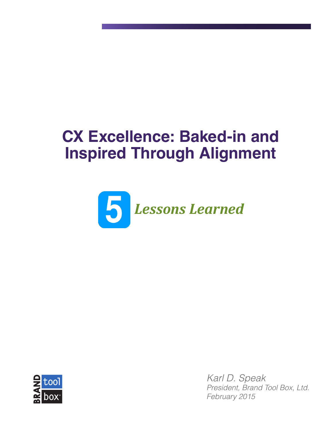# **CX Excellence: Baked-in and Inspired Through Alignment**





*Karl D. Speak President, Brand Tool Box, Ltd. February 2015*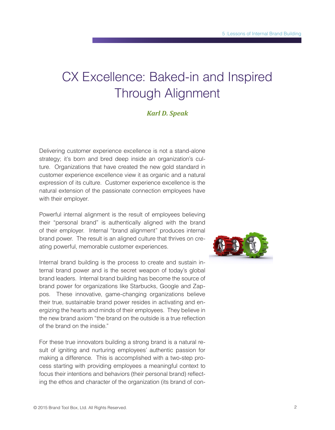# CX Excellence: Baked-in and Inspired Through Alignment

## *Karl D. Speak*

Delivering customer experience excellence is not a stand-alone strategy; it's born and bred deep inside an organization's culture. Organizations that have created the new gold standard in customer experience excellence view it as organic and a natural expression of its culture. Customer experience excellence is the natural extension of the passionate connection employees have with their employer.

Powerful internal alignment is the result of employees believing their "personal brand" is authentically aligned with the brand of their employer. Internal "brand alignment" produces internal brand power. The result is an aligned culture that thrives on creating powerful, memorable customer experiences.

Internal brand building is the process to create and sustain internal brand power and is the secret weapon of today's global brand leaders. Internal brand building has become the source of brand power for organizations like Starbucks, Google and Zappos. These innovative, game-changing organizations believe their true, sustainable brand power resides in activating and energizing the hearts and minds of their employees. They believe in the new brand axiom "the brand on the outside is a true reflection of the brand on the inside."

For these true innovators building a strong brand is a natural result of igniting and nurturing employees' authentic passion for making a difference. This is accomplished with a two-step process starting with providing employees a meaningful context to focus their intentions and behaviors (their personal brand) reflecting the ethos and character of the organization (its brand of con-

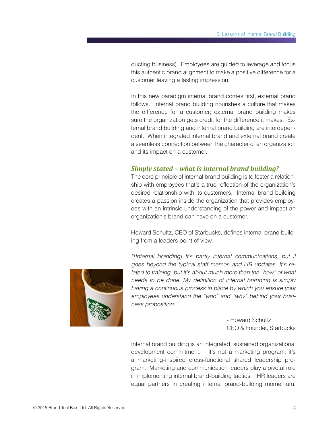ducting business). Employees are guided to leverage and focus this authentic brand alignment to make a positive difference for a customer leaving a lasting impression.

In this new paradigm internal brand comes first, external brand follows. Internal brand building nourishes a culture that makes the difference for a customer; external brand building makes sure the organization gets credit for the difference it makes. External brand building and internal brand building are interdependent. When integrated internal brand and external brand create a seamless connection between the character of an organization and its impact on a customer.

### *Simply stated – what is internal brand building?*

The core principle of internal brand building is to foster a relationship with employees that's a true reflection of the organization's desired relationship with its customers. Internal brand building creates a passion inside the organization that provides employees with an intrinsic understanding of the power and impact an organization's brand can have on a customer.

Howard Schultz, CEO of Starbucks, defines internal brand building from a leaders point of view.



*"[Internal branding] It's partly internal communications, but it goes beyond the typical staff memos and HR updates. It's related to training, but it's about much more than the "how" of what needs to be done. My definition of internal branding is simply having a continuous process in place by which you ensure your employees understand the "who" and "why" behind your business proposition."*

> - Howard Schultz CEO & Founder, Starbucks

Internal brand building is an integrated, sustained organizational development commitment. It's not a marketing program; it's a marketing-inspired cross-functional shared leadership program. Marketing and communication leaders play a pivotal role in implementing internal brand-building tactics. HR leaders are equal partners in creating internal brand-building momentum.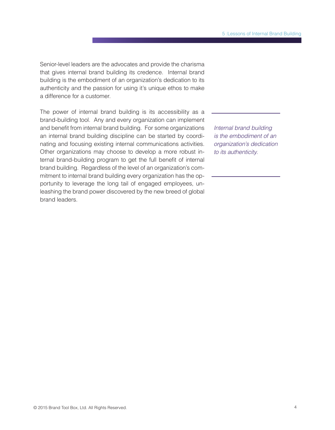Senior-level leaders are the advocates and provide the charisma that gives internal brand building its credence. Internal brand building is the embodiment of an organization's dedication to its authenticity and the passion for using it's unique ethos to make a difference for a customer.

The power of internal brand building is its accessibility as a brand-building tool. Any and every organization can implement and benefit from internal brand building. For some organizations an internal brand building discipline can be started by coordinating and focusing existing internal communications activities. Other organizations may choose to develop a more robust internal brand-building program to get the full benefit of internal brand building. Regardless of the level of an organization's commitment to internal brand building every organization has the opportunity to leverage the long tail of engaged employees, unleashing the brand power discovered by the new breed of global brand leaders.

*Internal brand building is the embodiment of an organization's dedication to its authenticity.*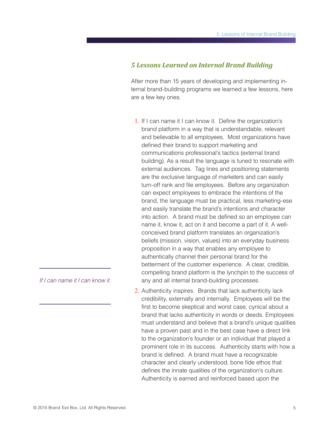#### *5 Lessons Learned on Internal Brand Building*

After more than 15 years of developing and implementing internal brand-building programs we learned a few lessons, here are a few key ones.

- 1. If I can name it I can know it. Define the organization's brand platform in a way that is understandable, relevant and believable to all employees. Most organizations have defined their brand to support marketing and communications professional's tactics (external brand building). As a result the language is tuned to resonate with external audiences. Tag lines and positioning statements are the exclusive language of marketers and can easily turn-off rank and file employees. Before any organization can expect employees to embrace the intentions of the brand, the language must be practical, less marketing-ese and easily translate the brand's intentions and character into action. A brand must be defined so an employee can name it, know it, act on it and become a part of it. A wellconceived brand platform translates an organization's beliefs (mission, vision, values) into an everyday business proposition in a way that enables any employee to authentically channel their personal brand for the betterment of the customer experience. A clear, credible, compelling brand platform is the lynchpin to the success of any and all internal brand-building processes.
- 2. Authenticity inspires. Brands that lack authenticity lack credibility, externally and internally. Employees will be the first to become skeptical and worst case, cynical about a brand that lacks authenticity in words or deeds. Employees must understand and believe that a brand's unique qualities have a proven past and in the best case have a direct link to the organization's founder or an individual that played a prominent role in its success. Authenticity starts with how a brand is defined. A brand must have a recognizable character and clearly understood, bone fide ethos that defines the innate qualities of the organization's culture. Authenticity is earned and reinforced based upon the

*If I can name it I can know it.*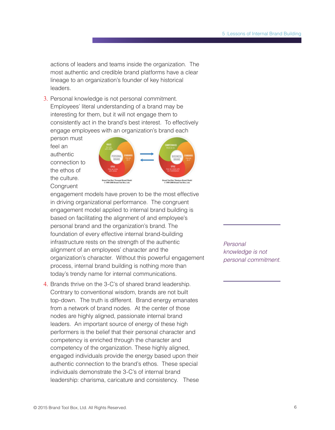actions of leaders and teams inside the organization. The most authentic and credible brand platforms have a clear lineage to an organization's founder of key historical leaders.

3. Personal knowledge is not personal commitment. Employees' literal understanding of a brand may be interesting for them, but it will not engage them to consistently act in the brand's best interest. To effectively engage employees with an organization's brand each

person must feel an authentic connection to the ethos of the culture. **Congruent** 



engagement models have proven to be the most effective in driving organizational performance. The congruent engagement model applied to internal brand building is based on facilitating the alignment of and employee's personal brand and the organization's brand. The foundation of every effective internal brand-building infrastructure rests on the strength of the authentic alignment of an employees' character and the organization's character. Without this powerful engagement process, internal brand building is nothing more than today's trendy name for internal communications.

4. Brands thrive on the 3-C's of shared brand leadership. Contrary to conventional wisdom, brands are not built top-down. The truth is different. Brand energy emanates from a network of brand nodes. At the center of those nodes are highly aligned, passionate internal brand leaders. An important source of energy of these high performers is the belief that their personal character and competency is enriched through the character and competency of the organization. These highly aligned, engaged individuals provide the energy based upon their authentic connection to the brand's ethos. These special individuals demonstrate the 3-C's of internal brand leadership: charisma, caricature and consistency. These *Personal knowledge is not personal commitment.*